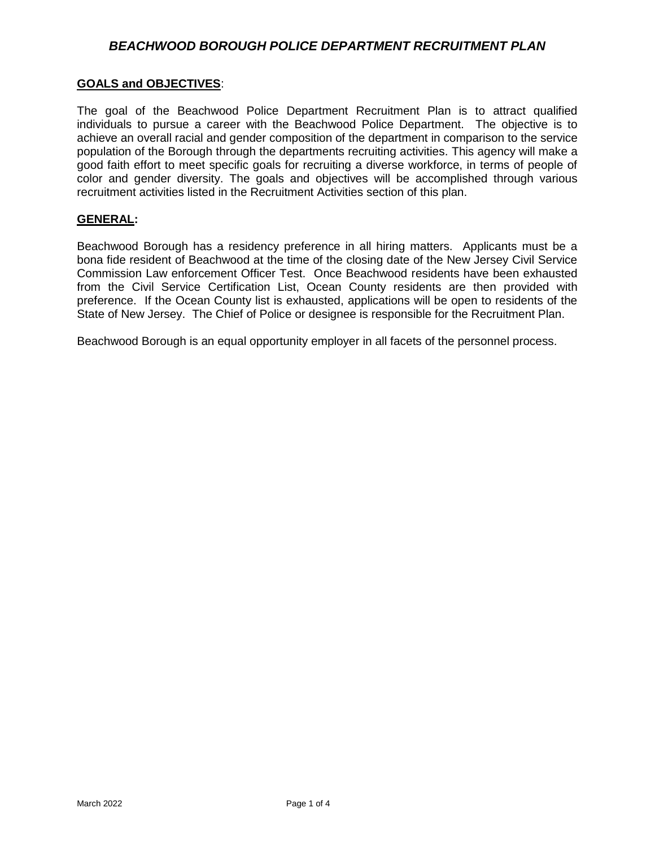### *BEACHWOOD BOROUGH POLICE DEPARTMENT RECRUITMENT PLAN*

#### **GOALS and OBJECTIVES**:

The goal of the Beachwood Police Department Recruitment Plan is to attract qualified individuals to pursue a career with the Beachwood Police Department. The objective is to achieve an overall racial and gender composition of the department in comparison to the service population of the Borough through the departments recruiting activities. This agency will make a good faith effort to meet specific goals for recruiting a diverse workforce, in terms of people of color and gender diversity. The goals and objectives will be accomplished through various recruitment activities listed in the Recruitment Activities section of this plan.

#### **GENERAL:**

Beachwood Borough has a residency preference in all hiring matters. Applicants must be a bona fide resident of Beachwood at the time of the closing date of the New Jersey Civil Service Commission Law enforcement Officer Test. Once Beachwood residents have been exhausted from the Civil Service Certification List, Ocean County residents are then provided with preference. If the Ocean County list is exhausted, applications will be open to residents of the State of New Jersey. The Chief of Police or designee is responsible for the Recruitment Plan.

Beachwood Borough is an equal opportunity employer in all facets of the personnel process.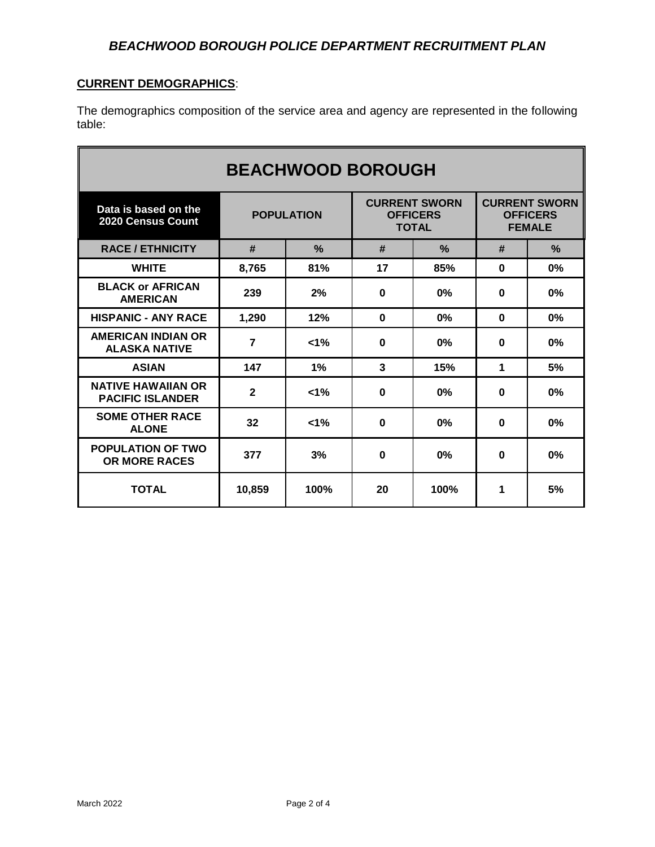# **CURRENT DEMOGRAPHICS**:

The demographics composition of the service area and agency are represented in the following table:

| <b>BEACHWOOD BOROUGH</b>                             |                   |               |                                                         |               |                                                          |               |
|------------------------------------------------------|-------------------|---------------|---------------------------------------------------------|---------------|----------------------------------------------------------|---------------|
| Data is based on the<br><b>2020 Census Count</b>     | <b>POPULATION</b> |               | <b>CURRENT SWORN</b><br><b>OFFICERS</b><br><b>TOTAL</b> |               | <b>CURRENT SWORN</b><br><b>OFFICERS</b><br><b>FEMALE</b> |               |
| <b>RACE / ETHNICITY</b>                              | #                 | $\frac{0}{2}$ | #                                                       | $\frac{0}{2}$ | #                                                        | $\frac{0}{2}$ |
| <b>WHITE</b>                                         | 8,765             | 81%           | 17                                                      | 85%           | $\bf{0}$                                                 | 0%            |
| <b>BLACK or AFRICAN</b><br><b>AMERICAN</b>           | 239               | 2%            | $\Omega$                                                | 0%            | $\mathbf{0}$                                             | 0%            |
| <b>HISPANIC - ANY RACE</b>                           | 1,290             | 12%           | $\bf{0}$                                                | 0%            | $\bf{0}$                                                 | 0%            |
| <b>AMERICAN INDIAN OR</b><br><b>ALASKA NATIVE</b>    | $\overline{7}$    | $1\%$         | $\bf{0}$                                                | $0\%$         | $\bf{0}$                                                 | 0%            |
| <b>ASIAN</b>                                         | 147               | 1%            | 3                                                       | 15%           | 1                                                        | 5%            |
| <b>NATIVE HAWAIIAN OR</b><br><b>PACIFIC ISLANDER</b> | $\mathbf{2}$      | $< 1\%$       | $\bf{0}$                                                | $0\%$         | $\bf{0}$                                                 | 0%            |
| <b>SOME OTHER RACE</b><br><b>ALONE</b>               | 32                | $< 1\%$       | $\bf{0}$                                                | 0%            | $\bf{0}$                                                 | 0%            |
| <b>POPULATION OF TWO</b><br><b>OR MORE RACES</b>     | 377               | 3%            | $\bf{0}$                                                | $0\%$         | $\bf{0}$                                                 | 0%            |
| <b>TOTAL</b>                                         | 10,859            | 100%          | 20                                                      | 100%          | 1                                                        | 5%            |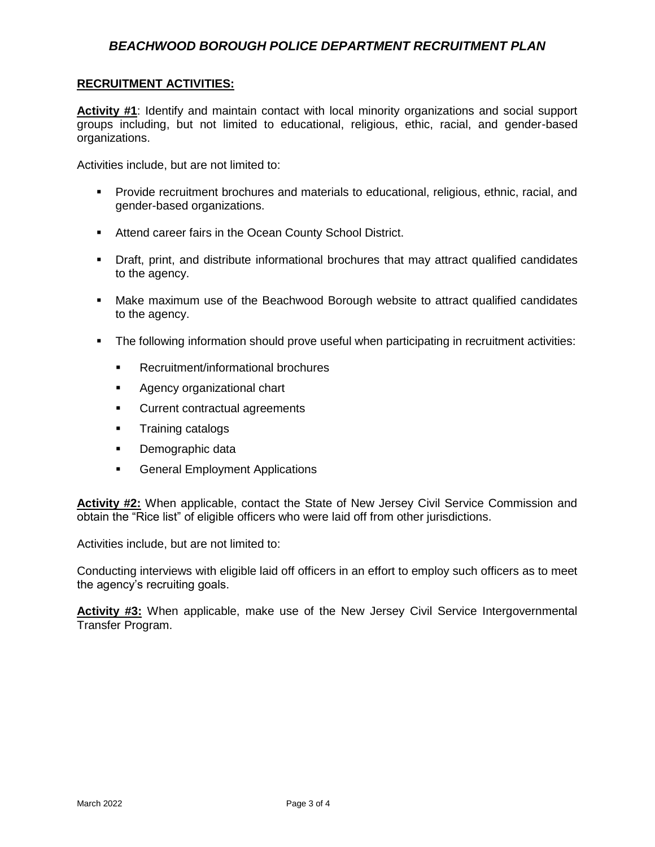# *BEACHWOOD BOROUGH POLICE DEPARTMENT RECRUITMENT PLAN*

#### **RECRUITMENT ACTIVITIES:**

**Activity #1**: Identify and maintain contact with local minority organizations and social support groups including, but not limited to educational, religious, ethic, racial, and gender-based organizations.

Activities include, but are not limited to:

- Provide recruitment brochures and materials to educational, religious, ethnic, racial, and gender-based organizations.
- **Attend career fairs in the Ocean County School District.**
- Draft, print, and distribute informational brochures that may attract qualified candidates to the agency.
- Make maximum use of the Beachwood Borough website to attract qualified candidates to the agency.
- The following information should prove useful when participating in recruitment activities:
	- **Recruitment/informational brochures**
	- **Agency organizational chart**
	- **Current contractual agreements**
	- **Training catalogs**
	- Demographic data
	- **General Employment Applications**

**Activity #2:** When applicable, contact the State of New Jersey Civil Service Commission and obtain the "Rice list" of eligible officers who were laid off from other jurisdictions.

Activities include, but are not limited to:

Conducting interviews with eligible laid off officers in an effort to employ such officers as to meet the agency's recruiting goals.

Activity #3: When applicable, make use of the New Jersey Civil Service Intergovernmental Transfer Program.